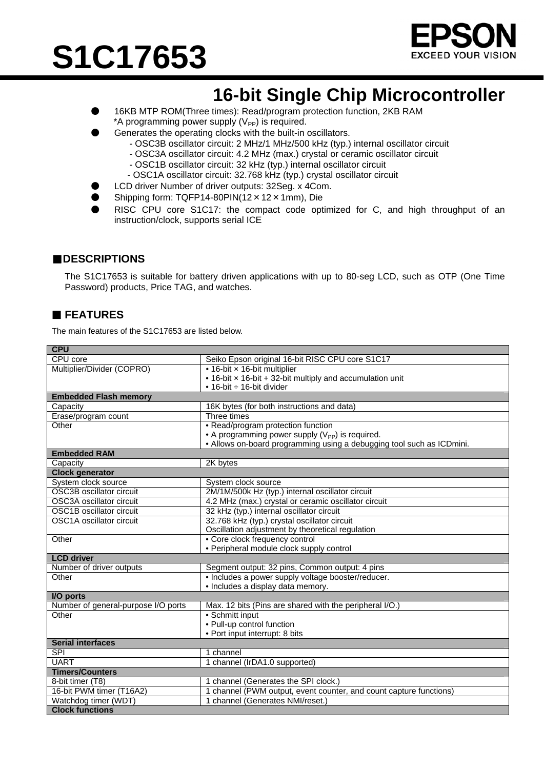# **S1C17653**



# **16-bit Single Chip Microcontroller**

- 16KB MTP ROM(Three times): Read/program protection function, 2KB RAM \*A programming power supply  $(V_{PP})$  is required.
- Generates the operating clocks with the built-in oscillators.
	- OSC3B oscillator circuit: 2 MHz/1 MHz/500 kHz (typ.) internal oscillator circuit
	- OSC3A oscillator circuit: 4.2 MHz (max.) crystal or ceramic oscillator circuit
	- OSC1B oscillator circuit: 32 kHz (typ.) internal oscillator circuit
	- OSC1A oscillator circuit: 32.768 kHz (typ.) crystal oscillator circuit
	- LCD driver Number of driver outputs: 32Seg. x 4Com.
- Shipping form: TQFP14-80PIN(12×12×1mm), Die
- RISC CPU core S1C17: the compact code optimized for C, and high throughput of an instruction/clock, supports serial ICE

#### ■**DESCRIPTIONS**

The S1C17653 is suitable for battery driven applications with up to 80-seg LCD, such as OTP (One Time Password) products, Price TAG, and watches.

### **FEATURES**

The main features of the S1C17653 are listed below.

| <b>CPU</b>                          |                                                                       |  |
|-------------------------------------|-----------------------------------------------------------------------|--|
| CPU core                            | Seiko Epson original 16-bit RISC CPU core S1C17                       |  |
| Multiplier/Divider (COPRO)          | • 16-bit x 16-bit multiplier                                          |  |
|                                     | • 16-bit x 16-bit + 32-bit multiply and accumulation unit             |  |
|                                     | • 16-bit $\div$ 16-bit divider                                        |  |
| <b>Embedded Flash memory</b>        |                                                                       |  |
| Capacity                            | 16K bytes (for both instructions and data)                            |  |
| Erase/program count                 | Three times                                                           |  |
| Other                               | • Read/program protection function                                    |  |
|                                     | • A programming power supply $(V_{PP})$ is required.                  |  |
|                                     | • Allows on-board programming using a debugging tool such as ICDmini. |  |
| <b>Embedded RAM</b>                 |                                                                       |  |
| Capacity                            | 2K bytes                                                              |  |
| <b>Clock generator</b>              |                                                                       |  |
| System clock source                 | System clock source                                                   |  |
| <b>OSC3B</b> oscillator circuit     | 2M/1M/500k Hz (typ.) internal oscillator circuit                      |  |
| OSC3A oscillator circuit            | 4.2 MHz (max.) crystal or ceramic oscillator circuit                  |  |
| OSC1B oscillator circuit            | 32 kHz (typ.) internal oscillator circuit                             |  |
| OSC1A oscillator circuit            | 32.768 kHz (typ.) crystal oscillator circuit                          |  |
|                                     | Oscillation adjustment by theoretical regulation                      |  |
| Other                               | • Core clock frequency control                                        |  |
|                                     | • Peripheral module clock supply control                              |  |
| <b>LCD</b> driver                   |                                                                       |  |
| Number of driver outputs            | Segment output: 32 pins, Common output: 4 pins                        |  |
| Other                               | • Includes a power supply voltage booster/reducer.                    |  |
|                                     | · Includes a display data memory.                                     |  |
| I/O ports                           |                                                                       |  |
| Number of general-purpose I/O ports | Max. 12 bits (Pins are shared with the peripheral I/O.)               |  |
| Other                               | • Schmitt input                                                       |  |
|                                     | • Pull-up control function                                            |  |
|                                     | • Port input interrupt: 8 bits                                        |  |
| <b>Serial interfaces</b>            |                                                                       |  |
| <b>SPI</b>                          | 1 channel                                                             |  |
| <b>UART</b>                         | 1 channel (IrDA1.0 supported)                                         |  |
| <b>Timers/Counters</b>              |                                                                       |  |
| 8-bit timer (T8)                    | channel (Generates the SPI clock.)                                    |  |
| 16-bit PWM timer (T16A2)            | channel (PWM output, event counter, and count capture functions)      |  |
| Watchdog timer (WDT)                | 1 channel (Generates NMI/reset.)                                      |  |
| <b>Clock functions</b>              |                                                                       |  |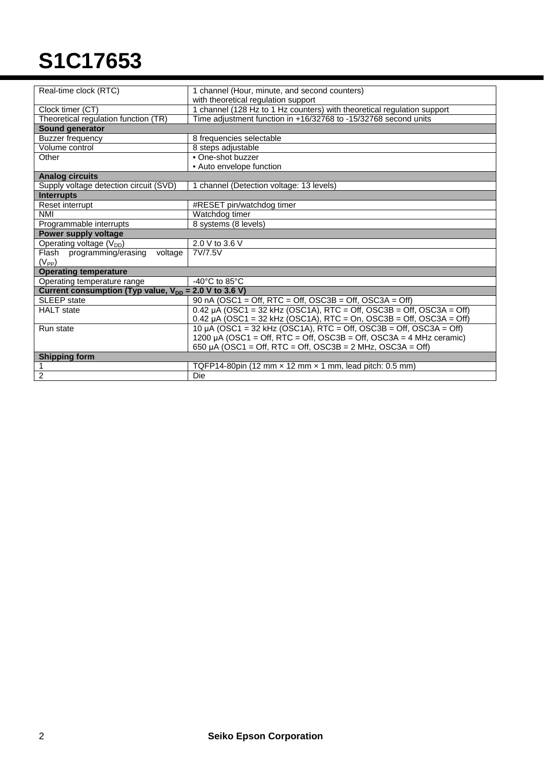# **S1C17653**

| Real-time clock (RTC)                                      | 1 channel (Hour, minute, and second counters)                                     |
|------------------------------------------------------------|-----------------------------------------------------------------------------------|
|                                                            | with theoretical regulation support                                               |
| Clock timer (CT)                                           | 1 channel (128 Hz to 1 Hz counters) with theoretical regulation support           |
| Theoretical regulation function (TR)                       | Time adjustment function in +16/32768 to -15/32768 second units                   |
| Sound generator                                            |                                                                                   |
| Buzzer frequency                                           | 8 frequencies selectable                                                          |
| Volume control                                             | 8 steps adjustable                                                                |
| Other                                                      | • One-shot buzzer                                                                 |
|                                                            | • Auto envelope function                                                          |
| <b>Analog circuits</b>                                     |                                                                                   |
| Supply voltage detection circuit (SVD)                     | channel (Detection voltage: 13 levels)                                            |
| <b>Interrupts</b>                                          |                                                                                   |
| Reset interrupt                                            | #RESET pin/watchdog timer                                                         |
| <b>NMI</b>                                                 | Watchdog timer                                                                    |
| Programmable interrupts                                    | 8 systems (8 levels)                                                              |
| Power supply voltage                                       |                                                                                   |
| Operating voltage $(V_{DD})$                               | 2.0 V to 3.6 V                                                                    |
| Flash programming/erasing<br>voltage                       | 7V/7.5V                                                                           |
| $(V_{PP})$                                                 |                                                                                   |
| <b>Operating temperature</b>                               |                                                                                   |
| Operating temperature range                                | -40 $^{\circ}$ C to 85 $^{\circ}$ C                                               |
| Current consumption (Typ value, $V_{DD} = 2.0 V$ to 3.6 V) |                                                                                   |
| <b>SLEEP</b> state                                         | 90 nA (OSC1 = Off, RTC = Off, OSC3B = Off, OSC3A = Off)                           |
| <b>HALT</b> state                                          | $0.42 \mu A (OSC1 = 32 \text{ kHz} (OSC1A), RTC = Off, OSC3B = Off, OSC3A = Off)$ |
|                                                            | 0.42 $\mu$ A (OSC1 = 32 kHz (OSC1A), RTC = On, OSC3B = Off, OSC3A = Off)          |
| Run state                                                  | 10 µA (OSC1 = 32 kHz (OSC1A), RTC = Off, OSC3B = Off, OSC3A = Off)                |
|                                                            | 1200 µA (OSC1 = Off, RTC = Off, OSC3B = Off, OSC3A = 4 MHz ceramic)               |
|                                                            | 650 µA (OSC1 = Off, RTC = Off, OSC3B = $2$ MHz, OSC3A = Off)                      |
| <b>Shipping form</b>                                       |                                                                                   |
| 1                                                          | TQFP14-80pin (12 mm $\times$ 12 mm $\times$ 1 mm, lead pitch: 0.5 mm)             |
| $\overline{2}$                                             | Die                                                                               |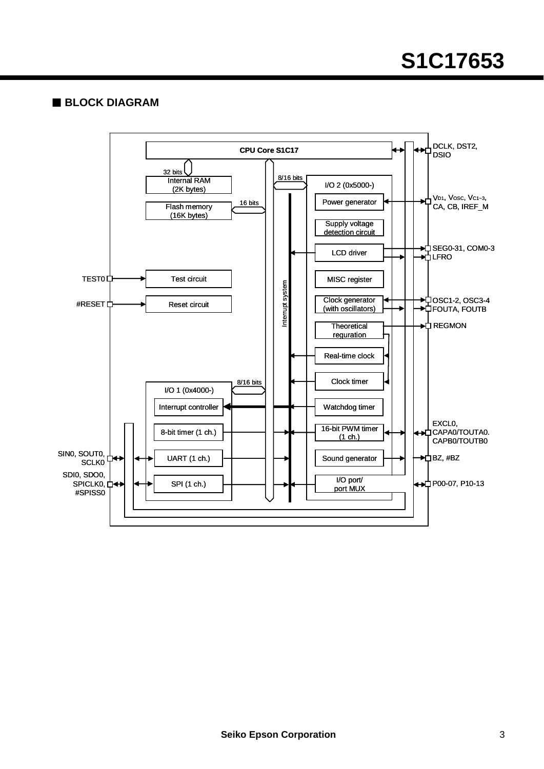## **BLOCK DIAGRAM**